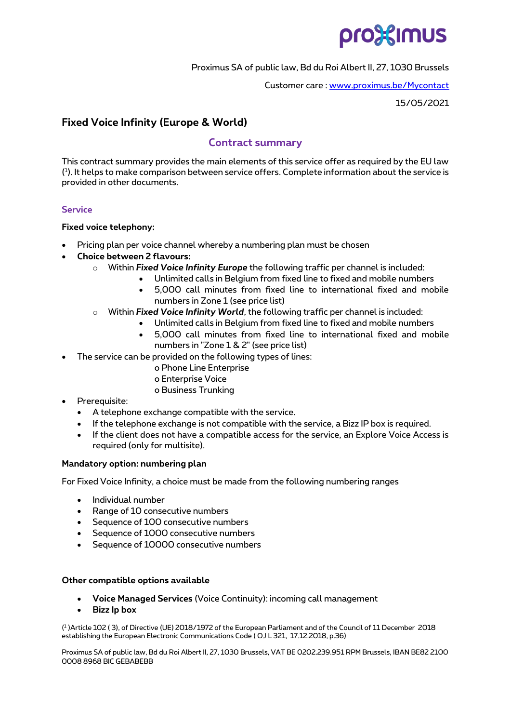

### Proximus SA of public law, Bd du Roi Albert II, 27, 1030 Brussels

Customer care [: www.proximus.be/Mycontact](http://www.proximus.be/Mycontact)

15/05/2021

# **Fixed Voice Infinity (Europe & World)**

## **Contract summary**

This contract summary provides the main elements of this service offer as required by the EU law ( 1 ). It helps to make comparison between service offers. Complete information about the service is provided in other documents.

## **Service**

### **Fixed voice telephony:**

- Pricing plan per voice channel whereby a numbering plan must be chosen
- **Choice between 2 flavours:** 
	- o Within *Fixed Voice Infinity Europe* the following traffic per channel is included:
		- Unlimited calls in Belgium from fixed line to fixed and mobile numbers
			- 5,000 call minutes from fixed line to international fixed and mobile numbers in Zone 1 (see price list)
	- o Within *Fixed Voice Infinity World*, the following traffic per channel is included:
		- Unlimited calls in Belgium from fixed line to fixed and mobile numbers
		- 5,000 call minutes from fixed line to international fixed and mobile numbers in "Zone 1 & 2" (see price list)
- The service can be provided on the following types of lines:
	- o Phone Line Enterprise
	- o Enterprise Voice
	- o Business Trunking
- Prerequisite:
	- A telephone exchange compatible with the service.
	- If the telephone exchange is not compatible with the service, a Bizz IP box is required.
	- If the client does not have a compatible access for the service, an Explore Voice Access is required (only for multisite).

### **Mandatory option: numbering plan**

For Fixed Voice Infinity, a choice must be made from the following numbering ranges

- Individual number
- Range of 10 consecutive numbers
- Sequence of 100 consecutive numbers
- Sequence of 1000 consecutive numbers
- Sequence of 10000 consecutive numbers

### **Other compatible options available**

- **Voice Managed Services** (Voice Continuity): incoming call management
- **Bizz Ip box**

( 1 )Article 102 ( 3), of Directive (UE) 2018/1972 of the European Parliament and of the Council of 11 December 2018 establishing the European Electronic Communications Code ( OJ L 321, 17.12.2018, p.36)

Proximus SA of public law, Bd du Roi Albert II, 27, 1030 Brussels, VAT BE 0202.239.951 RPM Brussels, IBAN BE82 2100 0008 8968 BIC GEBABEBB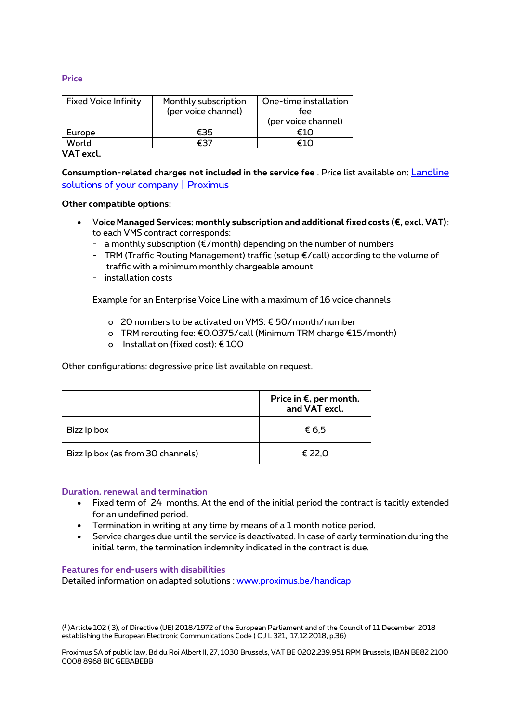### **Price**

| <b>Fixed Voice Infinity</b> | Monthly subscription<br>(per voice channel) | One-time installation<br>fee<br>(per voice channel) |
|-----------------------------|---------------------------------------------|-----------------------------------------------------|
| Europe                      |                                             |                                                     |
| World                       |                                             |                                                     |

**VAT excl.**

**Consumption-related charges not included in the service fee** . Price list available on: [Landline](https://eur03.safelinks.protection.outlook.com/?url=https%3A%2F%2Fwww.proximus.be%2Fen%2Fid_cl_landline%2Fcompanies-and-public-sector%2Ftelephony%2Ffixed-telephony%2Flandlines.html%3F&data=04%7C01%7Cnathalie.huyghebaert%40proximus.com%7Ca49412b898d84afe357708d92a7e0e10%7Ce7ab81b21e844bf79dcbb6fec01ed138%7C0%7C0%7C637587543147125183%7CUnknown%7CTWFpbGZsb3d8eyJWIjoiMC4wLjAwMDAiLCJQIjoiV2luMzIiLCJBTiI6Ik1haWwiLCJXVCI6Mn0%3D%7C1000&sdata=KR5gLQMhfqwkMb%2F%2FEGxolIaKzLwsBIwEJdnzmMeXfEQ%3D&reserved=0)  [solutions of your company | Proximus](https://eur03.safelinks.protection.outlook.com/?url=https%3A%2F%2Fwww.proximus.be%2Fen%2Fid_cl_landline%2Fcompanies-and-public-sector%2Ftelephony%2Ffixed-telephony%2Flandlines.html%3F&data=04%7C01%7Cnathalie.huyghebaert%40proximus.com%7Ca49412b898d84afe357708d92a7e0e10%7Ce7ab81b21e844bf79dcbb6fec01ed138%7C0%7C0%7C637587543147125183%7CUnknown%7CTWFpbGZsb3d8eyJWIjoiMC4wLjAwMDAiLCJQIjoiV2luMzIiLCJBTiI6Ik1haWwiLCJXVCI6Mn0%3D%7C1000&sdata=KR5gLQMhfqwkMb%2F%2FEGxolIaKzLwsBIwEJdnzmMeXfEQ%3D&reserved=0)

#### **Other compatible options:**

- V**oice Managed Services: monthly subscription and additional fixed costs (€, excl. VAT)**: to each VMS contract corresponds:
	- a monthly subscription (€/month) depending on the number of numbers
	- TRM (Traffic Routing Management) traffic (setup €/call) according to the volume of traffic with a minimum monthly chargeable amount
	- installation costs

Example for an Enterprise Voice Line with a maximum of 16 voice channels

- o 20 numbers to be activated on VMS: € 50/month/number
- o TRM rerouting fee: €0.0375/call (Minimum TRM charge €15/month)
- o Installation (fixed cost): € 100

Other configurations: degressive price list available on request.

|                                   | Price in $\epsilon$ , per month,<br>and VAT excl. |
|-----------------------------------|---------------------------------------------------|
| Bizz Ip box                       | € 6,5                                             |
| Bizz Ip box (as from 30 channels) | € 22,0                                            |

#### **Duration, renewal and termination**

- Fixed term of 24 months. At the end of the initial period the contract is tacitly extended for an undefined period.
- Termination in writing at any time by means of a 1 month notice period.
- Service charges due until the service is deactivated. In case of early termination during the initial term, the termination indemnity indicated in the contract is due.

#### **Features for end-users with disabilities**

Detailed information on adapted solutions : [www.proximus.be/handicap](http://www.proximus.be/handicap)

( 1 )Article 102 ( 3), of Directive (UE) 2018/1972 of the European Parliament and of the Council of 11 December 2018 establishing the European Electronic Communications Code ( OJ L 321, 17.12.2018, p.36)

Proximus SA of public law, Bd du Roi Albert II, 27, 1030 Brussels, VAT BE 0202.239.951 RPM Brussels, IBAN BE82 2100 0008 8968 BIC GEBABEBB